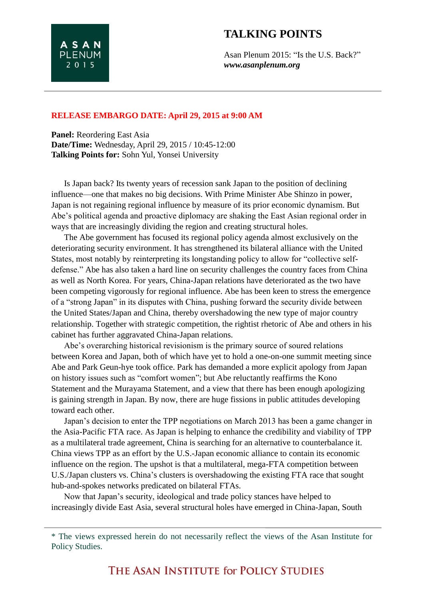## **TALKING POINTS**

Asan Plenum 2015: "Is the U.S. Back?" *www.asanplenum.org*

## **RELEASE EMBARGO DATE: April 29, 2015 at 9:00 AM**

**Panel:** Reordering East Asia **Date/Time:** Wednesday, April 29, 2015 / 10:45-12:00 **Talking Points for:** Sohn Yul, Yonsei University

**ASAN PLENUM** 2 0 1 5

Is Japan back? Its twenty years of recession sank Japan to the position of declining influence—one that makes no big decisions. With Prime Minister Abe Shinzo in power, Japan is not regaining regional influence by measure of its prior economic dynamism. But Abe's political agenda and proactive diplomacy are shaking the East Asian regional order in ways that are increasingly dividing the region and creating structural holes.

The Abe government has focused its regional policy agenda almost exclusively on the deteriorating security environment. It has strengthened its bilateral alliance with the United States, most notably by reinterpreting its longstanding policy to allow for "collective selfdefense." Abe has also taken a hard line on security challenges the country faces from China as well as North Korea. For years, China-Japan relations have deteriorated as the two have been competing vigorously for regional influence. Abe has been keen to stress the emergence of a "strong Japan" in its disputes with China, pushing forward the security divide between the United States/Japan and China, thereby overshadowing the new type of major country relationship. Together with strategic competition, the rightist rhetoric of Abe and others in his cabinet has further aggravated China-Japan relations.

Abe's overarching historical revisionism is the primary source of soured relations between Korea and Japan, both of which have yet to hold a one-on-one summit meeting since Abe and Park Geun-hye took office. Park has demanded a more explicit apology from Japan on history issues such as "comfort women"; but Abe reluctantly reaffirms the Kono Statement and the Murayama Statement, and a view that there has been enough apologizing is gaining strength in Japan. By now, there are huge fissions in public attitudes developing toward each other.

Japan's decision to enter the TPP negotiations on March 2013 has been a game changer in the Asia-Pacific FTA race. As Japan is helping to enhance the credibility and viability of TPP as a multilateral trade agreement, China is searching for an alternative to counterbalance it. China views TPP as an effort by the U.S.-Japan economic alliance to contain its economic influence on the region. The upshot is that a multilateral, mega-FTA competition between U.S./Japan clusters vs. China's clusters is overshadowing the existing FTA race that sought hub-and-spokes networks predicated on bilateral FTAs.

Now that Japan's security, ideological and trade policy stances have helped to increasingly divide East Asia, several structural holes have emerged in China-Japan, South

<sup>\*</sup> The views expressed herein do not necessarily reflect the views of the Asan Institute for Policy Studies.